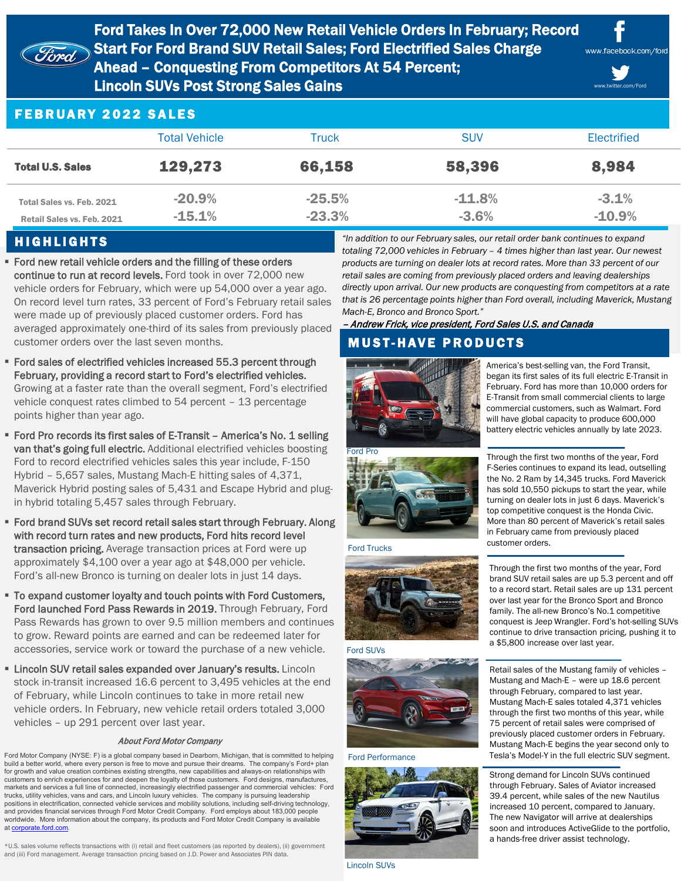

Ford Takes In Over 72,000 New Retail Vehicle Orders In February; Record Start For Ford Brand SUV Retail Sales; Ford Electrified Sales Charge Ahead – Conquesting From Competitors At 54 Percent;

Lincoln SUVs Post Strong Sales Gains



www.twitter.com/Ford

## FEBRUARY 2022 SALES

| <b>Total Vehicle</b>                                    |                      | Truck                | <b>SUV</b>           | Electrified         |  |
|---------------------------------------------------------|----------------------|----------------------|----------------------|---------------------|--|
| <b>Total U.S. Sales</b>                                 | 129,273              | 66,158               | 58,396               | 8,984               |  |
| Total Sales vs. Feb. 2021<br>Retail Sales vs. Feb. 2021 | $-20.9%$<br>$-15.1%$ | $-25.5%$<br>$-23.3%$ | $-11.8\%$<br>$-3.6%$ | $-3.1%$<br>$-10.9%$ |  |

## HIGHLIGHTS

**Ford new retail vehicle orders and the filling of these orders** continue to run at record levels. Ford took in over 72,000 new vehicle orders for February, which were up 54,000 over a year ago. On record level turn rates, 33 percent of Ford's February retail sales were made up of previously placed customer orders. Ford has averaged approximately one-third of its sales from previously placed customer orders over the last seven months.

- Ford sales of electrified vehicles increased 55.3 percent through February, providing a record start to Ford's electrified vehicles. Growing at a faster rate than the overall segment, Ford's electrified vehicle conquest rates climbed to 54 percent – 13 percentage points higher than year ago.
- Ford Pro records its first sales of E-Transit America's No. 1 selling van that's going full electric. Additional electrified vehicles boosting Ford to record electrified vehicles sales this year include, F-150 Hybrid – 5,657 sales, Mustang Mach-E hitting sales of 4,371, Maverick Hybrid posting sales of 5,431 and Escape Hybrid and plugin hybrid totaling 5,457 sales through February.
- Ford brand SUVs set record retail sales start through February. Along with record turn rates and new products, Ford hits record level transaction pricing. Average transaction prices at Ford were up approximately \$4,100 over a year ago at \$48,000 per vehicle. Ford's all-new Bronco is turning on dealer lots in just 14 days.
- To expand customer loyalty and touch points with Ford Customers, Ford launched Ford Pass Rewards in 2019. Through February, Ford Pass Rewards has grown to over 9.5 million members and continues to grow. Reward points are earned and can be redeemed later for accessories, service work or toward the purchase of a new vehicle.
- **EXTERCIAL SUM retail sales expanded over January's results. Lincoln** stock in-transit increased 16.6 percent to 3,495 vehicles at the end of February, while Lincoln continues to take in more retail new vehicle orders. In February, new vehicle retail orders totaled 3,000 vehicles – up 291 percent over last year.

#### About Ford Motor Company

Ford Motor Company (NYSE: F) is a global company based in Dearborn, Michigan, that is committed to helping build a better world, where every person is free to move and pursue their dreams. The company's Ford+ plan for growth and value creation combines existing strengths, new capabilities and always-on relationships with customers to enrich experiences for and deepen the loyalty of those customers. Ford designs, manufactures, markets and services a full line of connected, increasingly electrified passenger and commercial vehicles: Ford trucks, utility vehicles, vans and cars, and Lincoln luxury vehicles. The company is pursuing leadership positions in electrification, connected vehicle services and mobility solutions, including self-driving technology, and provides financial services through Ford Motor Credit Company. Ford employs about 183,000 people worldwide. More information about the company, its products and Ford Motor Credit Company is available at [corporate.ford.com](https://corporate.ford.com/).

\*U.S. sales volume reflects transactions with (i) retail and fleet customers (as reported by dealers), (ii) government and (iii) Ford management. Average transaction pricing based on J.D. Power and Associates PIN data.

*"In addition to our February sales, our retail order bank continues to expand totaling 72,000 vehicles in February – 4 times higher than last year. Our newest products are turning on dealer lots at record rates. More than 33 percent of our retail sales are coming from previously placed orders and leaving dealerships directly upon arrival. Our new products are conquesting from competitors at a rate that is 26 percentage points higher than Ford overall, including Maverick, Mustang Mach-E, Bronco and Bronco Sport."* 

### – Andrew Frick, vice president, Ford Sales U.S. and Canada

# **MUST-HAVE PRODUCTS**



America's best-selling van, the Ford Transit, began its first sales of its full electric E-Transit in February. Ford has more than 10,000 orders for E-Transit from small commercial clients to large commercial customers, such as Walmart. Ford will have global capacity to produce 600,000 battery electric vehicles annually by late 2023.



Ford Trucks



### Ford SUVs



Ford Performance



Lincoln SUVs

Through the first two months of the year, Ford F-Series continues to expand its lead, outselling the No. 2 Ram by 14,345 trucks. Ford Maverick has sold 10,550 pickups to start the year, while turning on dealer lots in just 6 days. Maverick's top competitive conquest is the Honda Civic. More than 80 percent of Maverick's retail sales in February came from previously placed customer orders.

Through the first two months of the year, Ford brand SUV retail sales are up 5.3 percent and off to a record start. Retail sales are up 131 percent over last year for the Bronco Sport and Bronco family. The all-new Bronco's No.1 competitive conquest is Jeep Wrangler. Ford's hot-selling SUVs continue to drive transaction pricing, pushing it to a \$5,800 increase over last year.

Retail sales of the Mustang family of vehicles – Mustang and Mach-E – were up 18.6 percent through February, compared to last year. Mustang Mach-E sales totaled 4,371 vehicles through the first two months of this year, while 75 percent of retail sales were comprised of previously placed customer orders in February. Mustang Mach-E begins the year second only to Tesla's Model-Y in the full electric SUV segment.

Strong demand for Lincoln SUVs continued through February. Sales of Aviator increased 39.4 percent, while sales of the new Nautilus increased 10 percent, compared to January. The new Navigator will arrive at dealerships soon and introduces ActiveGlide to the portfolio, a hands-free driver assist technology.